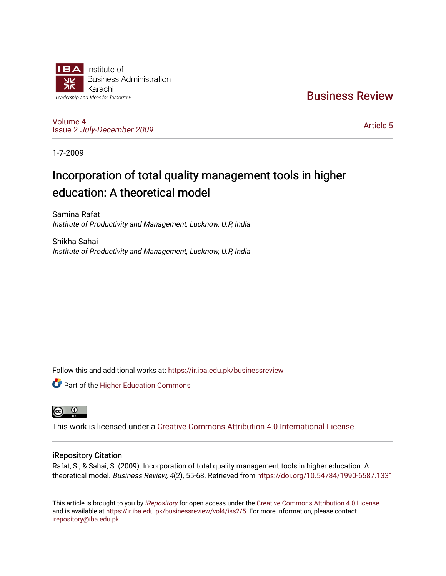

[Business Review](https://ir.iba.edu.pk/businessreview) 

[Volume 4](https://ir.iba.edu.pk/businessreview/vol4) Issue 2 [July-December 2009](https://ir.iba.edu.pk/businessreview/vol4/iss2)

[Article 5](https://ir.iba.edu.pk/businessreview/vol4/iss2/5) 

1-7-2009

# Incorporation of total quality management tools in higher education: A theoretical model

Samina Rafat Institute of Productivity and Management, Lucknow, U.P, India

Shikha Sahai Institute of Productivity and Management, Lucknow, U.P, India

Follow this and additional works at: [https://ir.iba.edu.pk/businessreview](https://ir.iba.edu.pk/businessreview?utm_source=ir.iba.edu.pk%2Fbusinessreview%2Fvol4%2Fiss2%2F5&utm_medium=PDF&utm_campaign=PDFCoverPages) 

**Part of the Higher Education Commons** 



This work is licensed under a [Creative Commons Attribution 4.0 International License](https://creativecommons.org/licenses/by/4.0/).

# iRepository Citation

Rafat, S., & Sahai, S. (2009). Incorporation of total quality management tools in higher education: A theoretical model. Business Review, 4(2), 55-68. Retrieved from<https://doi.org/10.54784/1990-6587.1331>

This article is brought to you by [iRepository](https://ir.iba.edu.pk/) for open access under the Creative Commons Attribution 4.0 License and is available at [https://ir.iba.edu.pk/businessreview/vol4/iss2/5.](https://ir.iba.edu.pk/businessreview/vol4/iss2/5) For more information, please contact [irepository@iba.edu.pk.](mailto:irepository@iba.edu.pk)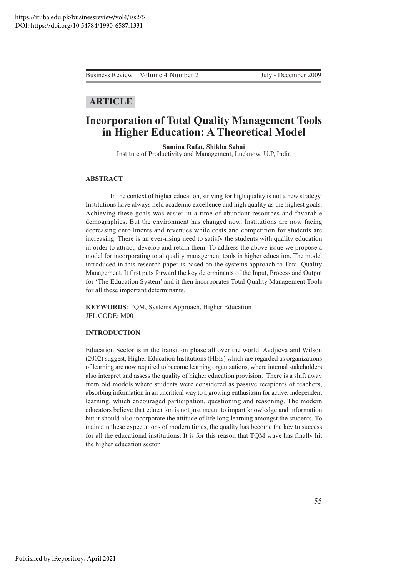Business Review – Volume 4 Number 2

July - December 2009

# **ARTICLE**

# **Incorporation of Total Quality Management Tools** in Higher Education: A Theoretical Model

Samina Rafat, Shikha Sahai Institute of Productivity and Management, Lucknow, U.P., India

# **ABSTRACT**

In the context of higher education, striving for high quality is not a new strategy. Institutions have always held academic excellence and high quality as the highest goals. Achieving these goals was easier in a time of abundant resources and favorable demographics. But the environment has changed now. Institutions are now facing decreasing enrollments and revenues while costs and competition for students are increasing. There is an ever-rising need to satisfy the students with quality education in order to attract, develop and retain them. To address the above issue we propose a model for incorporating total quality management tools in higher education. The model introduced in this research paper is based on the systems approach to Total Quality Management. It first puts forward the key determinants of the Input, Process and Output for 'The Education System' and it then incorporates Total Quality Management Tools for all these important determinants.

KEYWORDS: TQM, Systems Approach, Higher Education JEL CODE: M00

# **INTRODUCTION**

Education Sector is in the transition phase all over the world. Avdjieva and Wilson (2002) suggest, Higher Education Institutions (HEIs) which are regarded as organizations of learning are now required to become learning organizations, where internal stakeholders also interpret and assess the quality of higher education provision. There is a shift away from old models where students were considered as passive recipients of teachers, absorbing information in an uncritical way to a growing enthusiasm for active, independent learning, which encouraged participation, questioning and reasoning. The modern educators believe that education is not just meant to impart knowledge and information but it should also incorporate the attitude of life long learning amongst the students. To maintain these expectations of modern times, the quality has become the key to success for all the educational institutions. It is for this reason that TQM wave has finally hit the higher education sector.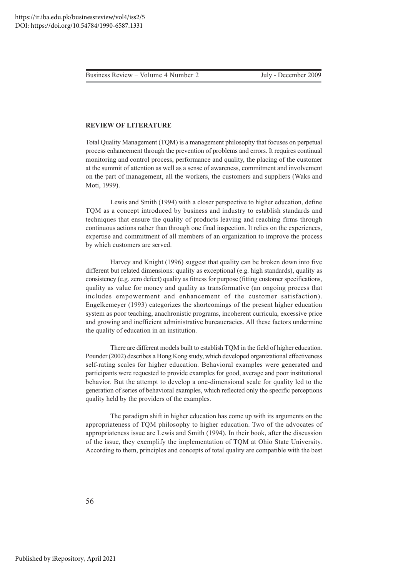# **REVIEW OF LITERATURE**

Total Quality Management (TQM) is a management philosophy that focuses on perpetual process enhancement through the prevention of problems and errors. It requires continual monitoring and control process, performance and quality, the placing of the customer at the summit of attention as well as a sense of awareness, commitment and involvement on the part of management, all the workers, the customers and suppliers (Waks and Moti, 1999).

Lewis and Smith (1994) with a closer perspective to higher education, define TQM as a concept introduced by business and industry to establish standards and techniques that ensure the quality of products leaving and reaching firms through continuous actions rather than through one final inspection. It relies on the experiences, expertise and commitment of all members of an organization to improve the process by which customers are served.

Harvey and Knight (1996) suggest that quality can be broken down into five different but related dimensions: quality as exceptional (e.g. high standards), quality as consistency (e.g. zero defect) quality as fitness for purpose (fitting customer specifications, quality as value for money and quality as transformative (an ongoing process that includes empowerment and enhancement of the customer satisfaction). Engelkemeyer (1993) categorizes the shortcomings of the present higher education system as poor teaching, anachronistic programs, incoherent curricula, excessive price and growing and inefficient administrative bureaucracies. All these factors undermine the quality of education in an institution.

There are different models built to establish TQM in the field of higher education. Pounder (2002) describes a Hong Kong study, which developed organizational effectiveness self-rating scales for higher education. Behavioral examples were generated and participants were requested to provide examples for good, average and poor institutional behavior. But the attempt to develop a one-dimensional scale for quality led to the generation of series of behavioral examples, which reflected only the specific perceptions quality held by the providers of the examples.

The paradigm shift in higher education has come up with its arguments on the appropriateness of TQM philosophy to higher education. Two of the advocates of appropriateness issue are Lewis and Smith (1994). In their book, after the discussion of the issue, they exemplify the implementation of TQM at Ohio State University. According to them, principles and concepts of total quality are compatible with the best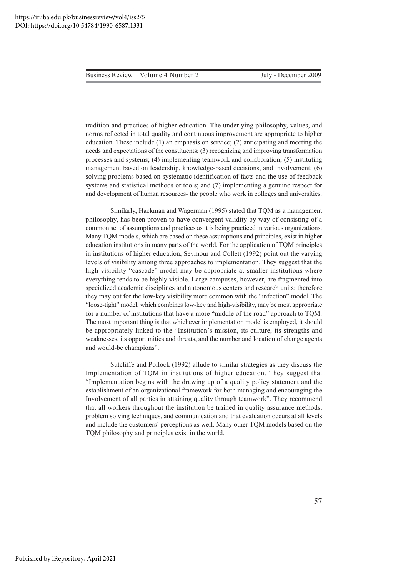Business Review – Volume 4 Number 2 and 1988 and 1988 July - December 2009

tradition and practices of higher education. The underlying philosophy, values, and norms reflected in total quality and continuous improvement are appropriate to higher education. These include  $(1)$  an emphasis on service;  $(2)$  anticipating and meeting the needs and expectations of the constituents; (3) recognizing and improving transformation processes and systems; (4) implementing teamwork and collaboration; (5) instituting management based on leadership, knowledge-based decisions, and involvement; (6) solving problems based on systematic identification of facts and the use of feedback systems and statistical methods or tools; and  $(7)$  implementing a genuine respect for and development of human resources- the people who work in colleges and universities.

Similarly, Hackman and Wagerman (1995) stated that TQM as a management philosophy, has been proven to have convergent validity by way of consisting of a common set of assumptions and practices as it is being practiced in various organizations. Many TQM models, which are based on these assumptions and principles, exist in higher education institutions in many parts of the world. For the application of TQM principles in institutions of higher education, Seymour and Collett (1992) point out the varying levels of visibility among three approaches to implementation. They suggest that the high-visibility "cascade" model may be appropriate at smaller institutions where everything tends to be highly visible. Large campuses, however, are fragmented into specialized academic disciplines and autonomous centers and research units; therefore they may opt for the low-key visibility more common with the "infection" model. The "loose-tight" model, which combines low-key and high-visibility, may be most appropriate for a number of institutions that have a more "middle of the road" approach to TQM. The most important thing is that whichever implementation model is employed, it should be appropriately linked to the "Institution's mission, its culture, its strengths and weaknesses, its opportunities and threats, and the number and location of change agents and would-be champions".

Sutcliffe and Pollock (1992) allude to similar strategies as they discuss the Implementation of TQM in institutions of higher education. They suggest that "Implementation begins with the drawing up of a quality policy statement and the establishment of an organizational framework for both managing and encouraging the Involvement of all parties in attaining quality through teamwork". They recommend that all workers throughout the institution be trained in quality assurance methods, problem solving techniques, and communication and that evaluation occurs at all levels and include the customers' perceptions as well. Many other TQM models based on the TQM philosophy and principles exist in the world.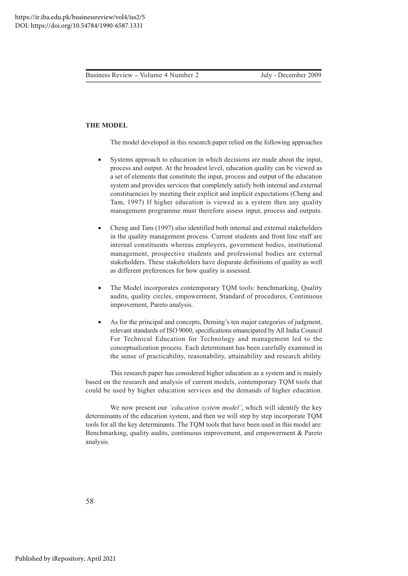# **THE MODEL**

The model developed in this research paper relied on the following approaches

- -• Systems approach to education in which decisions are made about the input, process and output. At the broadest level, education quality can be viewed as a set of elements that constitute the input, process and output of the education system and provides services that completely satisfy both internal and external constituencies by meeting their explicit and implicit expectations (Cheng and Tam, 1997) If higher education is viewed as a system then any quality management programme must therefore assess input, process and outputs.
- -• Cheng and Tam (1997) also identified both internal and external stakeholders in the quality management process. Current students and front line staff are internal constituents whereas employers, government bodies, institutional management, prospective students and professional bodies are external stakeholders. These stakeholders have disparate definitions of quality as well as different preferences for how quality is assessed.
- -• The Model incorporates contemporary TQM tools: benchmarking, Quality audits, quality circles, empowerment, Standard of procedures, Continuous improvement, Pareto analysis.
- -• As for the principal and concepts, Deming's ten major categories of judgment, relevant standards of ISO 9000, specifications emancipated by All India Council For Technical Education for Technology and management led to the conceptualization process. Each determinant has been carefully examined in the sense of practicability, reasonability, attainability and research ability.

This research paper has considered higher education as a system and is mainly based on the research and analysis of current models, contemporary TQM tools that could be used by higher education services and the demands of higher education.

We now present our *'education system model'*, which will identify the key determinants of the education system, and then we will step by step incorporate TQM tools for all the key determinants. The TQM tools that have been used in this model are: Benchmarking, quality audits, continuous improvement, and empowerment & Pareto analysis.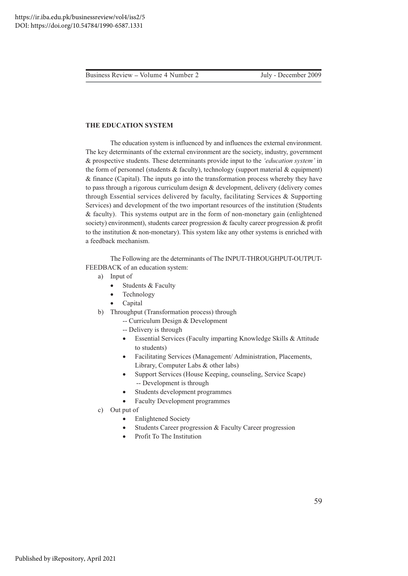Business Review – Volume 4 Number 2

# THE EDUCATION SYSTEM

The education system is influenced by and influences the external environment. The key determinants of the external environment are the society, industry, government & prospective students. These determinants provide input to the 'education system' in the form of personnel (students  $&$  faculty), technology (support material  $&$  equipment) & finance (Capital). The inputs go into the transformation process whereby they have to pass through a rigorous curriculum design & development, delivery (delivery comes through Essential services delivered by faculty, facilitating Services & Supporting Services) and development of the two important resources of the institution (Students & faculty). This systems output are in the form of non-monetary gain (enlightened society) environment), students career progression & faculty career progression & profit to the institution  $&$  non-monetary). This system like any other systems is enriched with a feedback mechanism.

The Following are the determinants of The INPUT-THROUGHPUT-OUTPUT-FEEDBACK of an education system:

- a) Input of
	- Students & Faculty  $\bullet$
	- Technology
	- Capital
- b) Throughput (Transformation process) through
	- -- Curriculum Design & Development
	- -- Delivery is through
	- Essential Services (Faculty imparting Knowledge Skills & Attitude  $\bullet$ to students)
	- Facilitating Services (Management/Administration, Placements,  $\bullet$ Library, Computer Labs & other labs)
	- Support Services (House Keeping, counseling, Service Scape) -- Development is through
	- Students development programmes
	- **Faculty Development programmes**
- c) Out put of
	- **Enlightened Society**
	- Students Career progression & Faculty Career progression
	- Profit To The Institution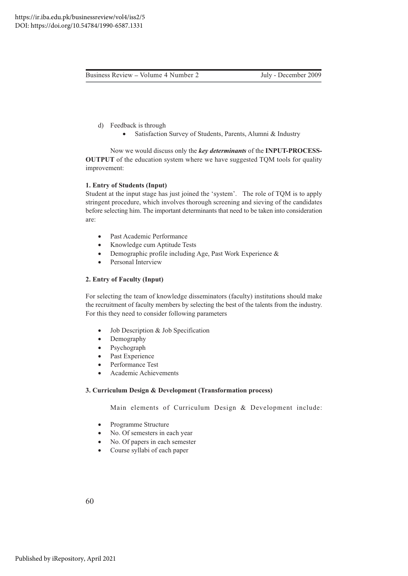- d) Feedback is through
	- $\bullet$ • Satisfaction Survey of Students, Parents, Alumni & Industry

Now we would discuss only the *key determinants* of the INPUT-PROCESS-OUTPUT of the education system where we have suggested TQM tools for quality improvement:

# 1. Entry of Students (Input)

Student at the input stage has just joined the 'system'. The role of TQM is to apply stringent procedure, which involves thorough screening and sieving of the candidates before selecting him. The important determinants that need to be taken into consideration are:

- $\bullet$ · Past Academic Performance
- $\bullet$ • Knowledge cum Aptitude Tests
- $\bullet$ • Demographic profile including Age, Past Work Experience &
- -Personal Interview

# **2. Entry of Faculty (Input)**

For selecting the team of knowledge disseminators (faculty) institutions should make the recruitment of faculty members by selecting the best of the talents from the industry. For this they need to consider following parameters

- $\bullet$ Job Description & Job Specification
- -Demography
- -Psychograph
- $\bullet$ Past Experience
- -Performance Test
- -• Academic Achievements

#### **3. Curriculum Design & Development (Transformation process)**

Main elements of Curriculum Design & Development include:

- -Programme Structure
- -No. Of semesters in each year
- $\bullet$ No. Of papers in each semester
- $\bullet$ • Course syllabi of each paper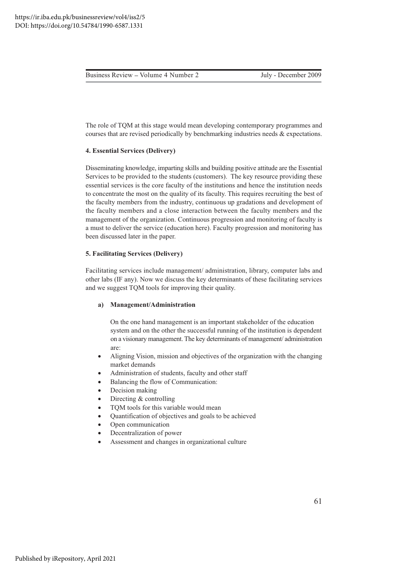The role of TQM at this stage would mean developing contemporary programmes and courses that are revised periodically by benchmarking industries needs  $\&$  expectations.

# **4. Essential Services (Delivery)**

Disseminating knowledge, imparting skills and building positive attitude are the Essential Services to be provided to the students (customers). The key resource providing these essential services is the core faculty of the institutions and hence the institution needs to concentrate the most on the quality of its faculty. This requires recruiting the best of the faculty members from the industry, continuous up gradations and development of the faculty members and a close interaction between the faculty members and the management of the organization. Continuous progression and monitoring of faculty is a must to deliver the service (education here). Faculty progression and monitoring has been discussed later in the paper.

# **5. Facilitating Services (Delivery)**

Facilitating services include management/ administration, library, computer labs and other labs (IF any). Now we discuss the key determinants of these facilitating services and we suggest TQM tools for improving their quality.

### a) Management/Administration

On the one hand management is an important stakeholder of the education system and on the other the successful running of the institution is dependent on a visionary management. The key determinants of management/administration are:

- $\bullet$ • Aligning Vision, mission and objectives of the organization with the changing market demands
- -• Administration of students, faculty and other staff
- $\bullet$ • Balancing the flow of Communication:
- $\bullet$ Decision making
- -Directing  $&$  controlling
- -• TQM tools for this variable would mean
- -• Quantification of objectives and goals to be achieved
- -Open communication
- -Decentralization of power
- -• Assessment and changes in organizational culture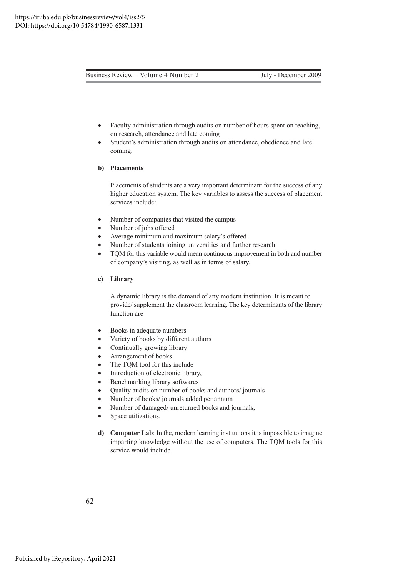- -• Faculty administration through audits on number of hours spent on teaching, on research, attendance and late coming
- -• Student's administration through audits on attendance, obedience and late coming.

#### **b**) Placements

Placements of students are a very important determinant for the success of any higher education system. The key variables to assess the success of placement services include:

- $\bullet$ • Number of companies that visited the campus
- -• Number of jobs offered
- -• Average minimum and maximum salary's offered
- -• Number of students joining universities and further research.
- $\bullet$ • TQM for this variable would mean continuous improvement in both and number of company's visiting, as well as in terms of salary.

# c) Library

A dynamic library is the demand of any modern institution. It is meant to provide/supplement the classroom learning. The key determinants of the library function are

- $\bullet$ • Books in adequate numbers
- -• Variety of books by different authors
- -• Continually growing library
- $\bullet$ Arrangement of books
- -• The TQM tool for this include
- $\bullet$ • Introduction of electronic library,
- -Benchmarking library softwares
- $\bullet$ • Quality audits on number of books and authors/ journals
- -• Number of books/ journals added per annum
- -• Number of damaged/ unreturned books and journals,
- -Space utilizations.
- d) Computer Lab: In the, modern learning institutions it is impossible to imagine imparting knowledge without the use of computers. The TQM tools for this service would include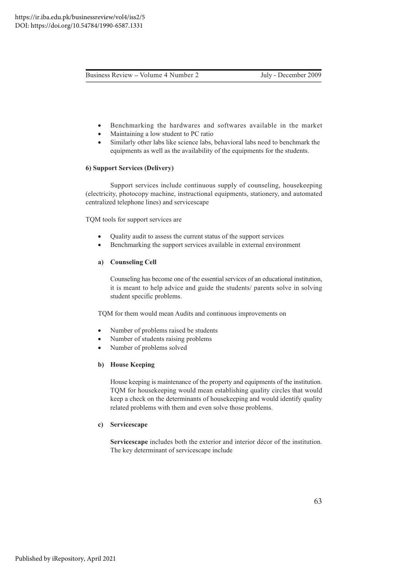- -• Benchmarking the hardwares and softwares available in the market
- -• Maintaining a low student to PC ratio
- $\bullet$ • Similarly other labs like science labs, behavioral labs need to benchmark the equipments as well as the availability of the equipments for the students.

### **6) Support Services (Delivery)**

Support services include continuous supply of counseling, housekeeping (electricity, photocopy machine, instructional equipments, stationery, and automated centralized telephone lines) and servicescape

TQM tools for support services are

- $\bullet$ • Quality audit to assess the current status of the support services
- -Benchmarking the support services available in external environment

### a) Counseling Cell

Counseling has become one of the essential services of an educational institution, it is meant to help advice and guide the students/ parents solve in solving student specific problems.

TQM for them would mean Audits and continuous improvements on

- $\bullet$ • Number of problems raised be students
- -• Number of students raising problems
- -• Number of problems solved

# **b**) House Keeping

House keeping is maintenance of the property and equipments of the institution. TQM for housekeeping would mean establishing quality circles that would keep a check on the determinants of housekeeping and would identify quality related problems with them and even solve those problems.

#### c) Servicescape

Servicescape includes both the exterior and interior décor of the institution. The key determinant of servicescape include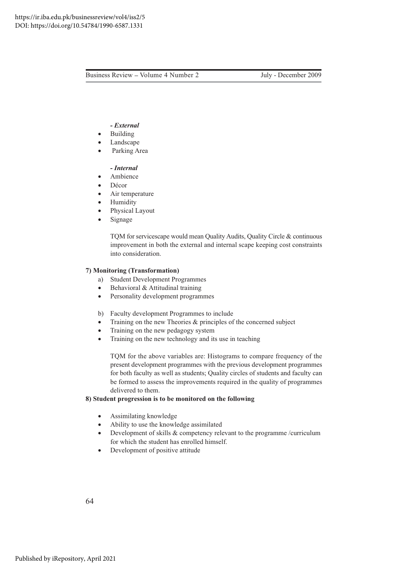#### 

- -• Building
- -• Landscape
- -Parking Area

# - *Internal*

- -Ambience
- -Décor
- -Air temperature
- -• Humidity
- -Physical Layout
- $\bullet$ Signage

TQM for servicescape would mean Quality Audits, Quality Circle & continuous improvement in both the external and internal scape keeping cost constraints into consideration.

# **7) Monitoring (Transformation)**

- a) Student Development Programmes
- -• Behavioral & Attitudinal training
- $\bullet$ • Personality development programmes
- b) Faculty development Programmes to include
- $\bullet$ • Training on the new Theories & principles of the concerned subject
- $\bullet$ • Training on the new pedagogy system
- -• Training on the new technology and its use in teaching

TQM for the above variables are: Histograms to compare frequency of the present development programmes with the previous development programmes for both faculty as well as students; Quality circles of students and faculty can be formed to assess the improvements required in the quality of programmes delivered to them.

# 8) Student progression is to be monitored on the following

- -• Assimilating knowledge
- $\bullet$ • Ability to use the knowledge assimilated
- $\bullet$ Development of skills  $\&$  competency relevant to the programme /curriculum for which the student has enrolled himself.
- $\bullet$ • Development of positive attitude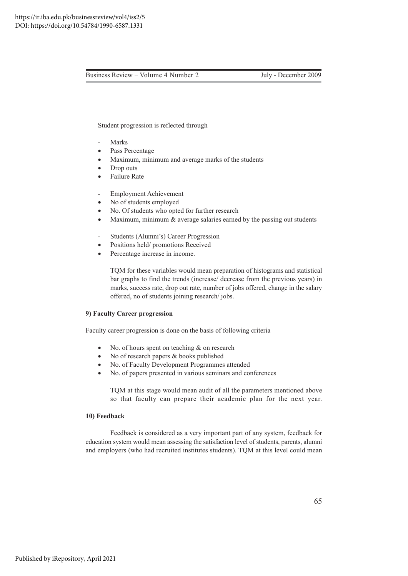Business Review – Volume 4 Number 2

July - December 2009

Student progression is reflected through

- Marks
- Pass Percentage
- Maximum, minimum and average marks of the students
- Drop outs  $\bullet$
- Failure Rate
- **Employment Achievement**
- No of students employed  $\bullet$
- No. Of students who opted for further research
- Maximum, minimum  $\&$  average salaries earned by the passing out students  $\bullet$
- Students (Alumni's) Career Progression
- Positions held/ promotions Received  $\bullet$
- Percentage increase in income.  $\bullet$

TQM for these variables would mean preparation of histograms and statistical bar graphs to find the trends (increase/ decrease from the previous years) in marks, success rate, drop out rate, number of jobs offered, change in the salary offered, no of students joining research/jobs.

# 9) Faculty Career progression

Faculty career progression is done on the basis of following criteria

- No. of hours spent on teaching  $&$  on research
- No of research papers & books published  $\bullet$
- No. of Faculty Development Programmes attended
- No. of papers presented in various seminars and conferences

TQM at this stage would mean audit of all the parameters mentioned above so that faculty can prepare their academic plan for the next year.

# 10) Feedback

Feedback is considered as a very important part of any system, feedback for education system would mean assessing the satisfaction level of students, parents, alumni and employers (who had recruited institutes students). TQM at this level could mean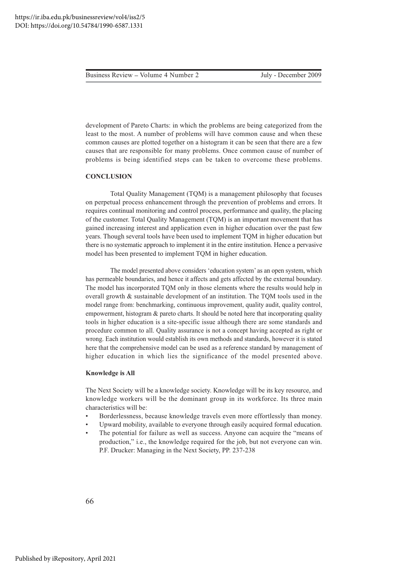development of Pareto Charts: in which the problems are being categorized from the least to the most. A number of problems will have common cause and when these common causes are plotted together on a histogram it can be seen that there are a few causes that are responsible for many problems. Once common cause of number of problems is being identified steps can be taken to overcome these problems.

# **CONCLUSION**

Total Quality Management (TQM) is a management philosophy that focuses on perpetual process enhancement through the prevention of problems and errors. It requires continual monitoring and control process, performance and quality, the placing of the customer. Total Quality Management (TQM) is an important movement that has gained increasing interest and application even in higher education over the past few years. Though several tools have been used to implement TQM in higher education but there is no systematic approach to implement it in the entire institution. Hence a pervasive model has been presented to implement TQM in higher education.

The model presented above considers 'education system' as an open system, which has permeable boundaries, and hence it affects and gets affected by the external boundary. The model has incorporated TQM only in those elements where the results would help in overall growth & sustainable development of an institution. The TQM tools used in the model range from: benchmarking, continuous improvement, quality audit, quality control, empowerment, histogram & pareto charts. It should be noted here that incorporating quality tools in higher education is a site-specific issue although there are some standards and procedure common to all. Quality assurance is not a concept having accepted as right or wrong. Each institution would establish its own methods and standards, however it is stated here that the comprehensive model can be used as a reference standard by management of higher education in which lies the significance of the model presented above.

### **Knowledge is All**

The Next Society will be a knowledge society. Knowledge will be its key resource, and knowledge workers will be the dominant group in its workforce. Its three main characteristics will be:

- Borderlessness, because knowledge travels even more effortlessly than money.
- Upward mobility, available to everyone through easily acquired formal education.
- The potential for failure as well as success. Anyone can acquire the "means of production," i.e., the knowledge required for the job, but not everyone can win. P.F. Drucker: Managing in the Next Society, PP. 237-238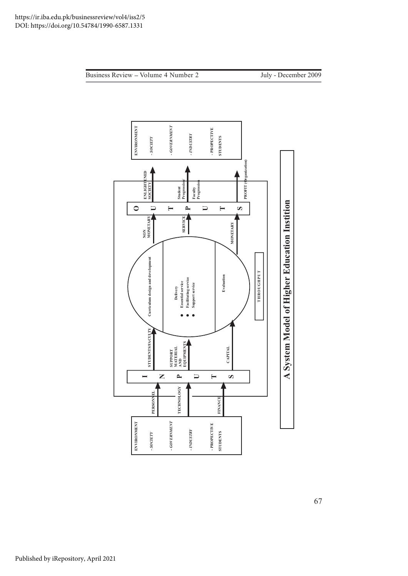Business Review - Volume 4 Number 2